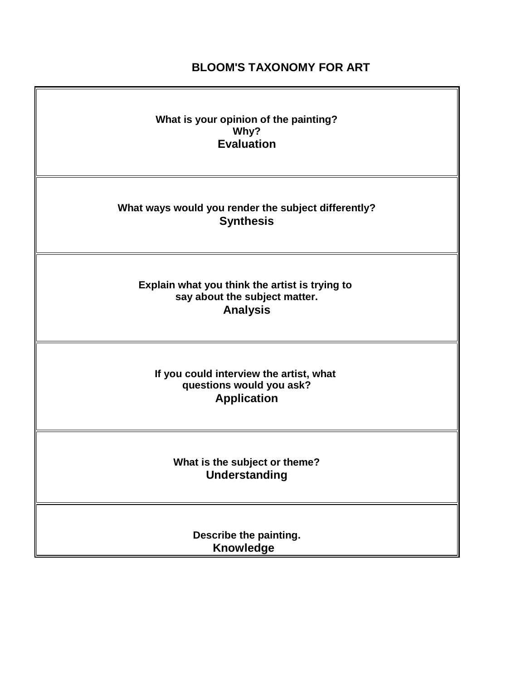# **BLOOM'S TAXONOMY FOR ART**

| What is your opinion of the painting?<br>Why?<br><b>Evaluation</b>                                 |
|----------------------------------------------------------------------------------------------------|
| What ways would you render the subject differently?<br><b>Synthesis</b>                            |
| Explain what you think the artist is trying to<br>say about the subject matter.<br><b>Analysis</b> |
| If you could interview the artist, what<br>questions would you ask?<br><b>Application</b>          |
| What is the subject or theme?<br>Understanding                                                     |
| Describe the painting.<br><b>Knowledge</b>                                                         |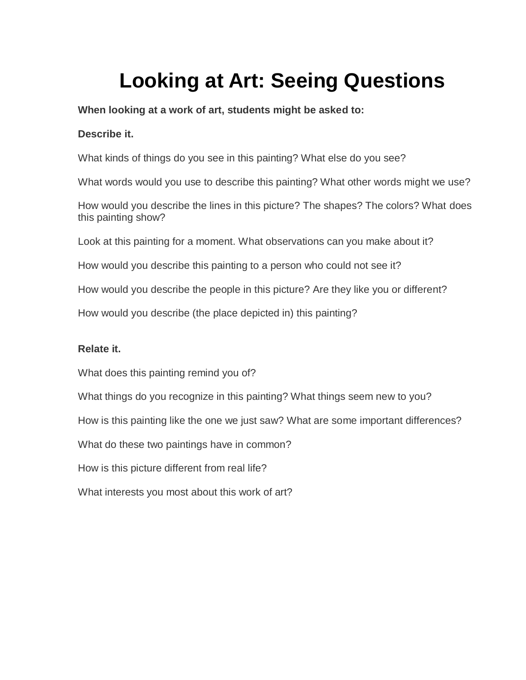# **Looking at Art: Seeing Questions**

**When looking at a work of art, students might be asked to:**

## **Describe it.**

What kinds of things do you see in this painting? What else do you see?

What words would you use to describe this painting? What other words might we use?

How would you describe the lines in this picture? The shapes? The colors? What does this painting show?

Look at this painting for a moment. What observations can you make about it?

How would you describe this painting to a person who could not see it?

How would you describe the people in this picture? Are they like you or different?

How would you describe (the place depicted in) this painting?

## **Relate it.**

What does this painting remind you of?

What things do you recognize in this painting? What things seem new to you?

How is this painting like the one we just saw? What are some important differences?

What do these two paintings have in common?

How is this picture different from real life?

What interests you most about this work of art?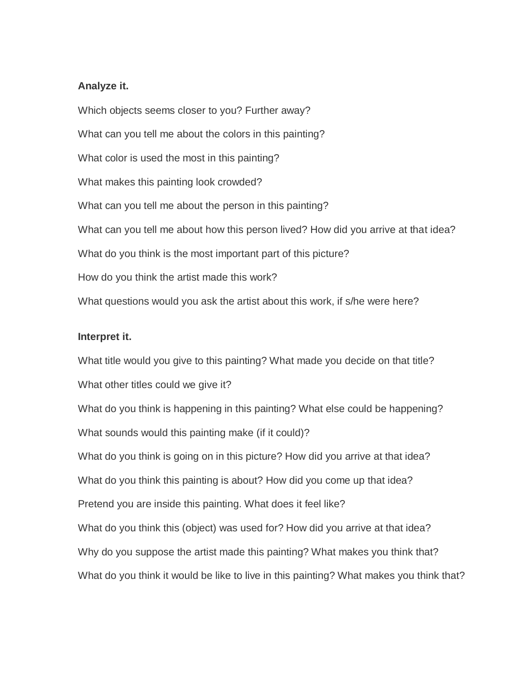#### **Analyze it.**

Which objects seems closer to you? Further away? What can you tell me about the colors in this painting? What color is used the most in this painting? What makes this painting look crowded? What can you tell me about the person in this painting? What can you tell me about how this person lived? How did you arrive at that idea? What do you think is the most important part of this picture? How do you think the artist made this work? What questions would you ask the artist about this work, if s/he were here?

#### **Interpret it.**

What title would you give to this painting? What made you decide on that title? What other titles could we give it? What do you think is happening in this painting? What else could be happening? What sounds would this painting make (if it could)? What do you think is going on in this picture? How did you arrive at that idea? What do you think this painting is about? How did you come up that idea? Pretend you are inside this painting. What does it feel like? What do you think this (object) was used for? How did you arrive at that idea? Why do you suppose the artist made this painting? What makes you think that? What do you think it would be like to live in this painting? What makes you think that?